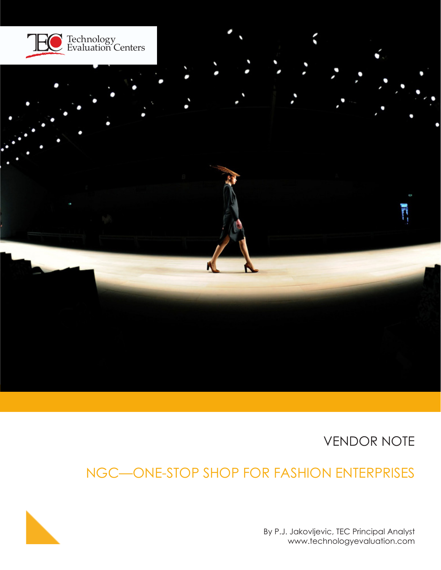

VENDOR NOTE

# NGC—ONE-STOP SHOP FOR FASHION ENTERPRISES



By P.J. Jakovljevic, TEC Principal Analyst www.technologyevaluation.com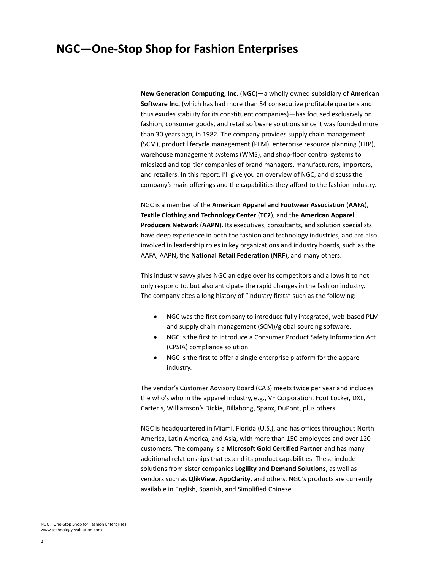## **NGC—One-Stop Shop for Fashion Enterprises**

**New Generation Computing, Inc.** (**NGC**)—a wholly owned subsidiary of **American Software Inc.** (which has had more than 54 consecutive profitable quarters and thus exudes stability for its constituent companies)—has focused exclusively on fashion, consumer goods, and retail software solutions since it was founded more than 30 years ago, in 1982. The company provides supply chain management (SCM), product lifecycle management (PLM), enterprise resource planning (ERP), warehouse management systems (WMS), and shop-floor control systems to midsized and top-tier companies of brand managers, manufacturers, importers, and retailers. In this report, I'll give you an overview of NGC, and discuss the company's main offerings and the capabilities they afford to the fashion industry.

NGC is a member of the **American Apparel and Footwear Association** (**AAFA**), **Textile Clothing and Technology Center** (**TC2**), and the **American Apparel Producers Network** (**AAPN**). Its executives, consultants, and solution specialists have deep experience in both the fashion and technology industries, and are also involved in leadership roles in key organizations and industry boards, such as the AAFA, AAPN, the **National Retail Federation** (**NRF**), and many others.

This industry savvy gives NGC an edge over its competitors and allows it to not only respond to, but also anticipate the rapid changes in the fashion industry. The company cites a long history of "industry firsts" such as the following:

- NGC was the first company to introduce fully integrated, web-based PLM and supply chain management (SCM)/global sourcing software.
- NGC is the first to introduce a Consumer Product Safety Information Act (CPSIA) compliance solution.
- NGC is the first to offer a single enterprise platform for the apparel industry.

The vendor's Customer Advisory Board (CAB) meets twice per year and includes the who's who in the apparel industry, e.g., VF Corporation, Foot Locker, DXL, Carter's, Williamson's Dickie, Billabong, Spanx, DuPont, plus others.

NGC is headquartered in Miami, Florida (U.S.), and has offices throughout North America, Latin America, and Asia, with more than 150 employees and over 120 customers. The company is a **Microsoft Gold Certified Partner** and has many additional relationships that extend its product capabilities. These include solutions from sister companies **Logility** and **Demand Solutions**, as well as vendors such as **QlikView**, **AppClarity**, and others. NGC's products are currently available in English, Spanish, and Simplified Chinese.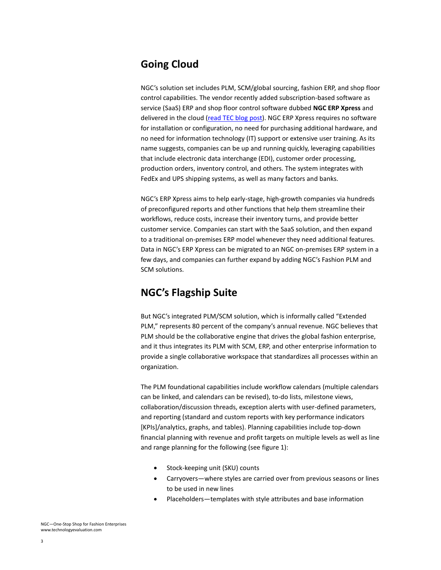#### **Going Cloud**

NGC's solution set includes PLM, SCM/global sourcing, fashion ERP, and shop floor control capabilities. The vendor recently added subscription-based software as service (SaaS) ERP and shop floor control software dubbed **NGC ERP Xpress** and delivered in the cloud [\(read TEC blog post\)](http://www.technologyevaluation.com/research/article/Lucky-Zone-Design-Selects-NGC-ERP-XPress.html). NGC ERP Xpress requires no software for installation or configuration, no need for purchasing additional hardware, and no need for information technology (IT) support or extensive user training. As its name suggests, companies can be up and running quickly, leveraging capabilities that include electronic data interchange (EDI), customer order processing, production orders, inventory control, and others. The system integrates with FedEx and UPS shipping systems, as well as many factors and banks.

NGC's ERP Xpress aims to help early-stage, high-growth companies via hundreds of preconfigured reports and other functions that help them streamline their workflows, reduce costs, increase their inventory turns, and provide better customer service. Companies can start with the SaaS solution, and then expand to a traditional on-premises ERP model whenever they need additional features. Data in NGC's ERP Xpress can be migrated to an NGC on-premises ERP system in a few days, and companies can further expand by adding NGC's Fashion PLM and SCM solutions.

### **NGC's Flagship Suite**

But NGC's integrated PLM/SCM solution, which is informally called "Extended PLM," represents 80 percent of the company's annual revenue. NGC believes that PLM should be the collaborative engine that drives the global fashion enterprise, and it thus integrates its PLM with SCM, ERP, and other enterprise information to provide a single collaborative workspace that standardizes all processes within an organization.

The PLM foundational capabilities include workflow calendars (multiple calendars can be linked, and calendars can be revised), to-do lists, milestone views, collaboration/discussion threads, exception alerts with user-defined parameters, and reporting (standard and custom reports with key performance indicators [KPIs]/analytics, graphs, and tables). Planning capabilities include top-down financial planning with revenue and profit targets on multiple levels as well as line and range planning for the following (see figure 1):

- Stock-keeping unit (SKU) counts
- Carryovers—where styles are carried over from previous seasons or lines to be used in new lines
- Placeholders—templates with style attributes and base information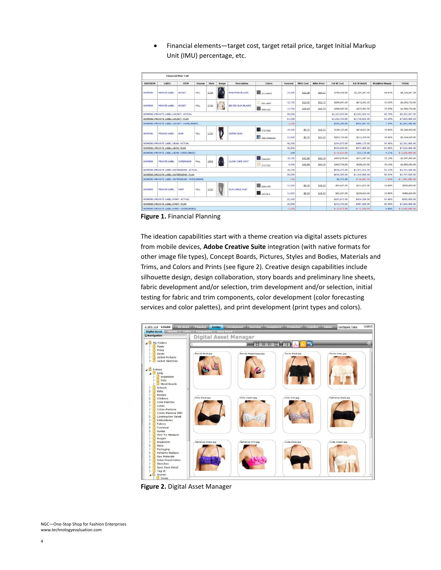- Financial Plan-Fall TTER Ext W Cost Ext W R LABEL  $\Box$  411-NVYS **RIVATE LABEL JACKET** 1714 Đ 24,500 \$31.39 \$94.17 \$769,055.00 \$2,307,167.45 66,67% \$6,125,007.3 OMENIC -<br>ALL **DE BLAZES** 12,75 \$23.45 \$298,987.5 \$672,562.50 \$1,593,75 \$52.75 55.55% 001-WHT I) **PRIVATE LABEL JACKET** FALL 1715 OMENS ELTED SLIM BLAZER  $\Box$  090-COL 12,750 \$298,987.50 \$672,562.50 \$1,593,750. \$23.45 \$52.75 55.55% PRIVATE LABEL>JACKET: ACTI 50,000 \$1,367,030.00 \$3,652,292.45 60.79% \$9,312,507. .<br>WOMENS>PRIVATE LABEL>JACKET: PLAN 51,500 \$1,261,750.00 \$2,716,625.00 53.55% \$7,650,000.5 ATE LABEL \$935,667.45 \$1,662,506.8 \$105,280. 7.24%  $-1,50$ **12** 472-RSN 19,500 \$190,125.00 59.96% \$1,248,000.0 \$9.75 \$24.35 \$474,825.00 V **RIVATE LABEL OMENS JEAN** .<br>ALL 1253 460-STNWSH 21,000 \$204,750.00 59.96% \$9.75 \$511,350.00 \$1,344,000.0 \$24.35 40,50 \$394,875.00 \$986,175.00 \$2,592,000. 59,96% 40,000 \$430,000.00 \$974,000.00  $55.85$ \$7,650,000.0 WOMENS>PRIVATE LABEL>JEAN: PLA VATE LABEL>JEAN: 500  $$-35,125.00$  $$12,175.00$ 4.11%  $$-5,058,000.0$  $\overline{\phantom{a}}$  004-NVY 10,250 \$42.50 \$94.75 \$435,625.00 \$971,187.50 55.15% \$1,947,500. **PRIVATE LABEL** OUTERWEAR FALL 1903  $272 - CLK$ 9,500 \$42.50 \$94.75 \$403,750.00 \$900,125.00 55.15% \$1,805,000.0 19,750 \$839,375.00 \$1,871,312.50 55.15% \$3,752,500. VOMENS>PRIVATE LABEL>OUTERWEAR: PLAN 20,000 5830,000.00 \$1,910,000.00 56 54% \$5,737,500.0 VATE LABEL>OUTE  $-250$ \$9,375.00  $$-38,687.50$  $-1.40%$  $$-1,985,000.0$ **WEAR: OV**  $\overline{\phantom{a}}$  050-HTF 11.450 \$8,35 \$18.50 \$95,607.50 \$211,825.00 54,86% \$503,800.0 **PRIVATE LABEL** PANT FALL 1212 **IM ANKLE PAN**  $\Box$  002-BLK 11.050 \$8.35 \$18.50 \$92,267.50 \$204,425.00 54.86% \$486,200.0 ATE LARELSE 22,500 \$187,875.00 \$416,250.00 54.86% \$990,000.0 **UOMETME**  $\overline{1}$ VOMENS>PRIVATE LABEL>PANT: PLAN 25,00 \$243,750.0 \$487,500.00 \$7,650,000 WOMENS>PRIVATE LABEL>PANT: OVER  $$ - 55.875.0$  $$-71,250,00$ 4,86%  $s - 6,660,000.0$  $-2,500$
- Financial elements—target cost, target retail price, target Initial Markup Unit (IMU) percentage, etc.

**Figure 1.** Financial Planning

The ideation capabilities start with a theme creation via digital assets pictures from mobile devices, **Adobe Creative Suite** integration (with native formats for other image file types), Concept Boards, Pictures, Styles and Bodies, Materials and Trims, and Colors and Prints (see figure 2). Creative design capabilities include silhouette design, design collaboration, story boards and preliminary line sheets, fabric development and/or selection, trim development and/or selection, initial testing for fabric and trim components, color development (color forecasting services and color palettes), and print development (print types and colors).



**Figure 2.** Digital Asset Manager

NGC—One-Stop Shop for Fashion Enterprises www.technologyevaluation.com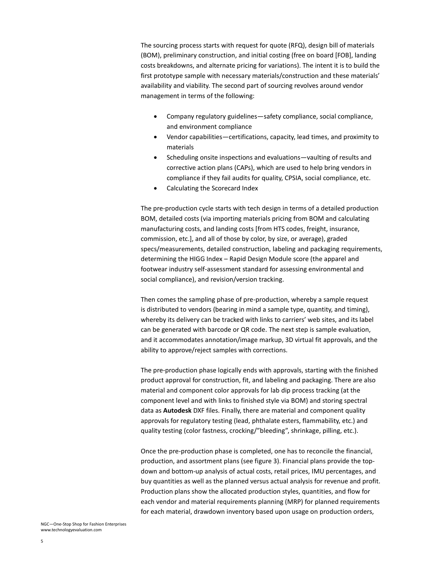The sourcing process starts with request for quote (RFQ), design bill of materials (BOM), preliminary construction, and initial costing (free on board [FOB], landing costs breakdowns, and alternate pricing for variations). The intent it is to build the first prototype sample with necessary materials/construction and these materials' availability and viability. The second part of sourcing revolves around vendor management in terms of the following:

- Company regulatory guidelines—safety compliance, social compliance, and environment compliance
- Vendor capabilities—certifications, capacity, lead times, and proximity to materials
- Scheduling onsite inspections and evaluations—vaulting of results and corrective action plans (CAPs), which are used to help bring vendors in compliance if they fail audits for quality, CPSIA, social compliance, etc.
- Calculating the Scorecard Index

The pre-production cycle starts with tech design in terms of a detailed production BOM, detailed costs (via importing materials pricing from BOM and calculating manufacturing costs, and landing costs [from HTS codes, freight, insurance, commission, etc.], and all of those by color, by size, or average), graded specs/measurements, detailed construction, labeling and packaging requirements, determining the HIGG Index – Rapid Design Module score (the apparel and footwear industry self-assessment standard for assessing environmental and social compliance), and revision/version tracking.

Then comes the sampling phase of pre-production, whereby a sample request is distributed to vendors (bearing in mind a sample type, quantity, and timing), whereby its delivery can be tracked with links to carriers' web sites, and its label can be generated with barcode or QR code. The next step is sample evaluation, and it accommodates annotation/image markup, 3D virtual fit approvals, and the ability to approve/reject samples with corrections.

The pre-production phase logically ends with approvals, starting with the finished product approval for construction, fit, and labeling and packaging. There are also material and component color approvals for lab dip process tracking (at the component level and with links to finished style via BOM) and storing spectral data as **Autodesk** DXF files. Finally, there are material and component quality approvals for regulatory testing (lead, phthalate esters, flammability, etc.) and quality testing (color fastness, crocking/"bleeding", shrinkage, pilling, etc.).

Once the pre-production phase is completed, one has to reconcile the financial, production, and assortment plans (see figure 3). Financial plans provide the topdown and bottom-up analysis of actual costs, retail prices, IMU percentages, and buy quantities as well as the planned versus actual analysis for revenue and profit. Production plans show the allocated production styles, quantities, and flow for each vendor and material requirements planning (MRP) for planned requirements for each material, drawdown inventory based upon usage on production orders,

NGC—One-Stop Shop for Fashion Enterprises www.technologyevaluation.com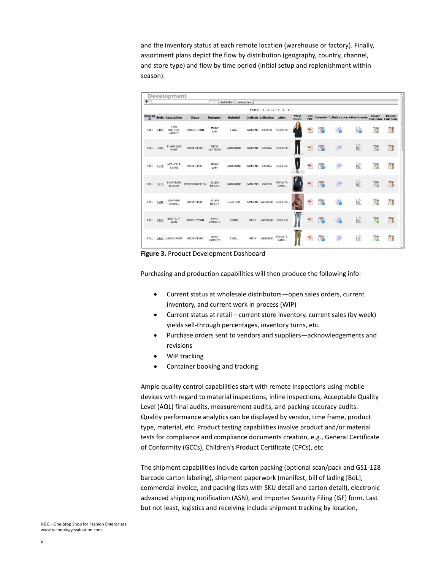and the inventory status at each remote location (warehouse or factory). Finally, assortment plans depict the flow by distribution (geography, country, channel, and store type) and flow by time period (initial setup and replenishment within season).

| $\Phi$        |      |                                       |                   |                        | <b>Set Filter</b> | Advanced      |                            |                                |                |                   |                 |                                           |    |                                    |                   |
|---------------|------|---------------------------------------|-------------------|------------------------|-------------------|---------------|----------------------------|--------------------------------|----------------|-------------------|-----------------|-------------------------------------------|----|------------------------------------|-------------------|
|               |      |                                       |                   |                        |                   |               |                            | Pages:   1   2   3   4   5   6 |                |                   |                 |                                           |    |                                    |                   |
| <b>Season</b> |      | <b>Style Description</b>              | <b>Stage</b>      | <b>Designer</b>        | <b>Material</b>   |               | <b>Division Collection</b> | Label                          | View<br>Specs. | Get<br><b>PDF</b> |                 | <b>Calendar Collaboration Attachments</b> |    | Assign<br><b>Calendar Calendar</b> | <b>Revise</b>     |
| <b>FALL</b>   | 1100 | TWO<br><b>BUTTON</b><br><b>JACKET</b> | <b>PRODUCTION</b> | <b>JENNY</b><br>LAM    | <b>TWILL</b>      | <b>WOMENS</b> | CAREER                     | <b>HIGHLINE</b>                |                | 喫                 | $rac{mn}{3}$    | F.                                        | e. | $\frac{3000}{31}$                  | $\frac{mn}{3}$    |
| FALL          | 1205 | <b>FLARE LEG</b><br><b>PANT</b>       | PROTOTYPE         | DEDE<br>WATSON         | <b>GABARDINE</b>  | <b>WOMENS</b> | CASUAL HIGHLINE            |                                |                | 學                 | $rac{mn}{3}$    | ≘                                         | e  | $\frac{7000}{31}$                  | $\frac{mn}{3}$    |
| <b>FALL</b>   | 1211 | MID-CALF<br>CAPRI                     | PROTOTYPE         | <b>JENNY</b><br>LAM    | <b>GABARDINE</b>  | <b>WOMENS</b> | CASUAL                     | <b>HIGHLINE</b>                |                | 孯                 | $rac{mn}{3}$    | 画                                         | ø  | $rac{4777}{31}$                    | $\frac{4000}{31}$ |
| <b>FALL</b>   | 1714 | PINSTRIPE<br><b>BLAZER</b>            | PREPRODUCTION     | ELLEN<br><b>RIPLEY</b> | <b>GABARDINE</b>  | <b>WOMENS</b> | CAREER                     | PRIVATE<br>LABEL               |                | 孯                 | $\frac{mn}{3}$  | $\bigcirc$                                | e  | $\frac{m}{3}$                      | $\frac{9999}{31}$ |
| <b>FALL</b>   | 1901 | LEATHER<br><b>BOMBER</b>              | PROTOTYPE         | ELLEN<br><b>RIPLEY</b> | <b>LEATHER</b>    |               | WOMENS WEEKEND HIGHLINE    |                                |                | 孯                 | $\frac{mn}{3}$  | ā                                         | e  | $\frac{4000}{34}$                  | $\frac{mn}{3}$    |
| FALL          | 2450 | <b>BOOTCUT</b><br><b>JEAN</b>         | <b>PRODUCTION</b> | DANA<br><b>BARRETT</b> | <b>DENIM</b>      | <b>MENS</b>   | WEEKEND HIGHLINE           |                                |                | 孯                 | $\frac{m n}{3}$ | G.                                        | e  | $\frac{757}{37}$                   | $\frac{mn}{3}$    |
| <b>FALL</b>   |      | 2460 CARGO PANT                       | PROTOTYPE         | DANA<br><b>BARRETT</b> | <b>TWILL</b>      | <b>MENS</b>   | WEEKEND                    | PRIVATE<br>LABEL               |                | 悞                 | $\frac{m}{3}$   | $\left( =\right)$                         | e, | $\frac{mn}{31}$                    | $\frac{1}{3}$     |

**Figure 3.** Product Development Dashboard

Purchasing and production capabilities will then produce the following info:

- Current status at wholesale distributors—open sales orders, current inventory, and current work in process (WIP)
- Current status at retail—current store inventory, current sales (by week) yields sell-through percentages, inventory turns, etc.
- Purchase orders sent to vendors and suppliers—acknowledgements and revisions
- WIP tracking
- Container booking and tracking

Ample quality control capabilities start with remote inspections using mobile devices with regard to material inspections, inline inspections, Acceptable Quality Level (AQL) final audits, measurement audits, and packing accuracy audits. Quality performance analytics can be displayed by vendor, time frame, product type, material, etc. Product testing capabilities involve product and/or material tests for compliance and compliance documents creation, e.g., General Certificate of Conformity (GCCs), Children's Product Certificate (CPCs), etc.

The shipment capabilities include carton packing (optional scan/pack and GS1-128 barcode carton labeling), shipment paperwork (manifest, bill of lading [BoL], commercial invoice, and packing lists with SKU detail and carton detail), electronic advanced shipping notification (ASN), and Importer Security Filing (ISF) form. Last but not least, logistics and receiving include shipment tracking by location,

NGC—One-Stop Shop for Fashion Enterprises www.technologyevaluation.com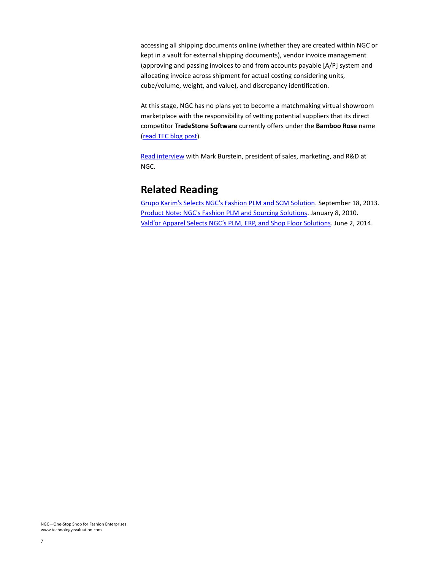accessing all shipping documents online (whether they are created within NGC or kept in a vault for external shipping documents), vendor invoice management (approving and passing invoices to and from accounts payable [A/P] system and allocating invoice across shipment for actual costing considering units, cube/volume, weight, and value), and discrepancy identification.

At this stage, NGC has no plans yet to become a matchmaking virtual showroom marketplace with the responsibility of vetting potential suppliers that its direct competitor **TradeStone Software** currently offers under the **Bamboo Rose** name [\(read TEC blog post\)](http://www.technologyevaluation.com/research/article/TradeStone-Software-Helping-Omni-Market-Retail-Transformation.html).

[Read interview](http://www.technologyevaluation.com/research/article/Interview-with-NGC-Marketer-Flushing-Out-the-Value-Prop.html) with Mark Burstein, president of sales, marketing, and R&D at NGC.

#### **Related Reading**

[Grupo Karim's Selects NGC's Fashion PLM and SCM Solution](http://www.technologyevaluation.com/research/article/Grupo-Karims-Selects-NGCs-Fashion-PLM-and-SCM-Solution.html). September 18, 2013. [Product Note: NGC's Fashion PLM and Sourcing Solutions.](http://www.technologyevaluation.com/research/article/Product-Note-NGCs-Fashion-PLM-and-Sourcing-Solutions.html) January 8, 2010. [Vald'or Apparel Selects NGC's PLM, ERP, and Shop Floor Solutions](http://www.technologyevaluation.com/research/article/Valdor-Apparel-Selects-NGCs-PLM-ERP-and-Shop-Floor-Solutions.html). June 2, 2014.